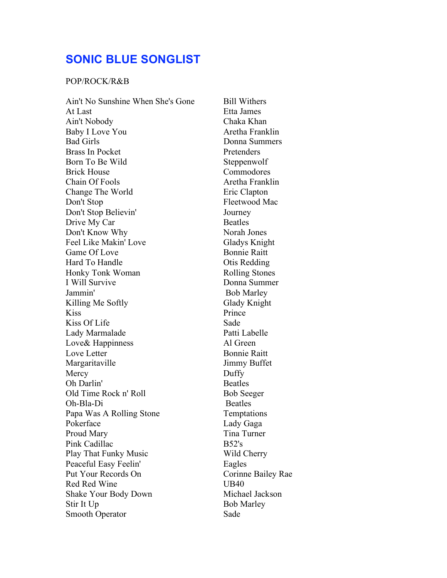## **SONIC BLUE SONGLIST**

## POP/ROCK/R&B

Ain't No Sunshine When She's Gone Bill Withers At Last Etta James Ain't Nobody Chaka Khan Baby I Love You Aretha Franklin Bad Girls Donna Summers Brass In Pocket Pretenders Born To Be Wild Steppenwolf Brick House Commodores Chain Of Fools **Aretha Franklin** Change The World Eric Clapton Don't Stop Fleetwood Mac Don't Stop Believin' Journey Drive My Car Beatles Don't Know Why Norah Jones Feel Like Makin' Love Gladys Knight Game Of Love Bonnie Raitt Hard To Handle **Otis Redding** Honky Tonk Woman Rolling Stones I Will Survive Donna Summer Jammin' Bob Marley Killing Me Softly Glady Knight Kiss Prince Kiss Of Life Sade Lady Marmalade Patti Labelle Love& Happinness Al Green Love Letter Bonnie Raitt Margaritaville Jimmy Buffet Mercy Duffy Oh Darlin' Beatles Old Time Rock n' Roll Bob Seeger Oh-Bla-Di Beatles Papa Was A Rolling Stone Temptations Pokerface Lady Gaga Proud Mary Tina Turner Pink Cadillac B52's Play That Funky Music Wild Cherry Peaceful Easy Feelin' Eagles Put Your Records On Corinne Bailey Rae Red Red Wine UB40 Shake Your Body Down Michael Jackson Stir It Up Bob Marley Smooth Operator Sade